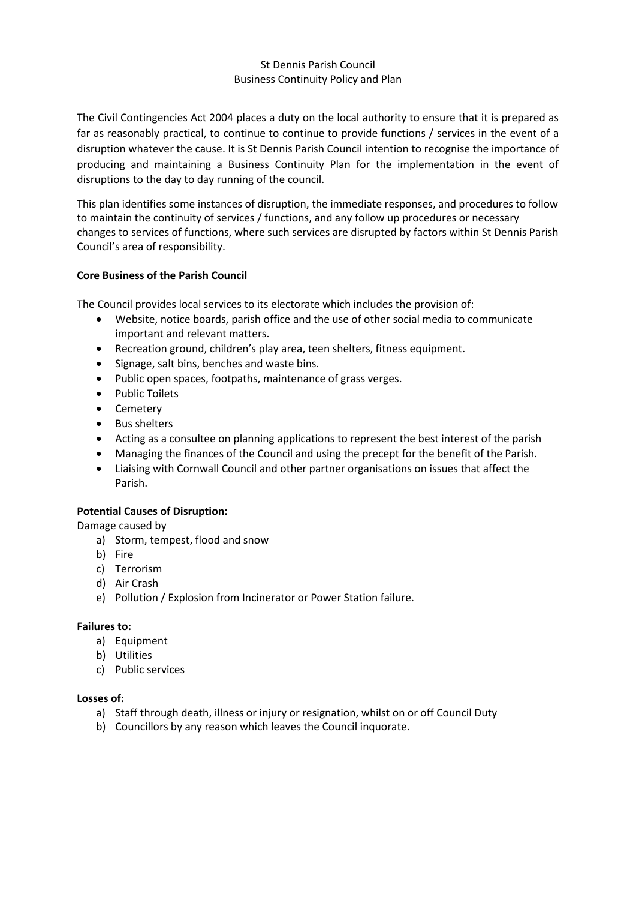### St Dennis Parish Council Business Continuity Policy and Plan

The Civil Contingencies Act 2004 places a duty on the local authority to ensure that it is prepared as far as reasonably practical, to continue to continue to provide functions / services in the event of a disruption whatever the cause. It is St Dennis Parish Council intention to recognise the importance of producing and maintaining a Business Continuity Plan for the implementation in the event of disruptions to the day to day running of the council.

This plan identifies some instances of disruption, the immediate responses, and procedures to follow to maintain the continuity of services / functions, and any follow up procedures or necessary changes to services of functions, where such services are disrupted by factors within St Dennis Parish Council's area of responsibility.

## **Core Business of the Parish Council**

The Council provides local services to its electorate which includes the provision of:

- Website, notice boards, parish office and the use of other social media to communicate important and relevant matters.
- Recreation ground, children's play area, teen shelters, fitness equipment.
- Signage, salt bins, benches and waste bins.
- Public open spaces, footpaths, maintenance of grass verges.
- Public Toilets
- Cemetery
- Bus shelters
- Acting as a consultee on planning applications to represent the best interest of the parish
- Managing the finances of the Council and using the precept for the benefit of the Parish.
- Liaising with Cornwall Council and other partner organisations on issues that affect the Parish.

### **Potential Causes of Disruption:**

Damage caused by

- a) Storm, tempest, flood and snow
- b) Fire
- c) Terrorism
- d) Air Crash
- e) Pollution / Explosion from Incinerator or Power Station failure.

### **Failures to:**

- a) Equipment
- b) Utilities
- c) Public services

#### **Losses of:**

- a) Staff through death, illness or injury or resignation, whilst on or off Council Duty
- b) Councillors by any reason which leaves the Council inquorate.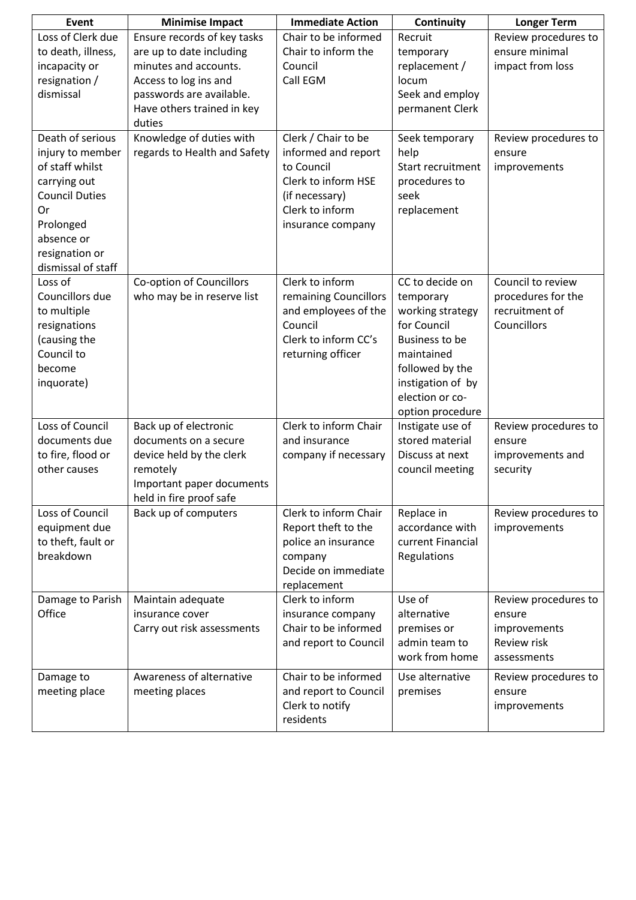| Event                 | <b>Minimise Impact</b>       | <b>Immediate Action</b> | Continuity            | <b>Longer Term</b>   |
|-----------------------|------------------------------|-------------------------|-----------------------|----------------------|
| Loss of Clerk due     | Ensure records of key tasks  | Chair to be informed    | Recruit               | Review procedures to |
| to death, illness,    | are up to date including     | Chair to inform the     | temporary             | ensure minimal       |
| incapacity or         | minutes and accounts.        | Council                 | replacement /         | impact from loss     |
| resignation /         | Access to log ins and        | Call EGM                | locum                 |                      |
| dismissal             | passwords are available.     |                         | Seek and employ       |                      |
|                       | Have others trained in key   |                         | permanent Clerk       |                      |
|                       | duties                       |                         |                       |                      |
| Death of serious      | Knowledge of duties with     | Clerk / Chair to be     | Seek temporary        | Review procedures to |
| injury to member      | regards to Health and Safety | informed and report     | help                  | ensure               |
| of staff whilst       |                              | to Council              | Start recruitment     | improvements         |
| carrying out          |                              | Clerk to inform HSE     | procedures to         |                      |
| <b>Council Duties</b> |                              | (if necessary)          | seek                  |                      |
| 0r                    |                              | Clerk to inform         | replacement           |                      |
| Prolonged             |                              | insurance company       |                       |                      |
| absence or            |                              |                         |                       |                      |
| resignation or        |                              |                         |                       |                      |
| dismissal of staff    |                              |                         |                       |                      |
| Loss of               | Co-option of Councillors     | Clerk to inform         | CC to decide on       | Council to review    |
| Councillors due       | who may be in reserve list   | remaining Councillors   | temporary             | procedures for the   |
| to multiple           |                              | and employees of the    | working strategy      | recruitment of       |
| resignations          |                              | Council                 | for Council           | Councillors          |
| (causing the          |                              | Clerk to inform CC's    | <b>Business to be</b> |                      |
| Council to            |                              | returning officer       | maintained            |                      |
| become                |                              |                         | followed by the       |                      |
| inquorate)            |                              |                         | instigation of by     |                      |
|                       |                              |                         | election or co-       |                      |
|                       |                              |                         | option procedure      |                      |
| Loss of Council       | Back up of electronic        | Clerk to inform Chair   | Instigate use of      | Review procedures to |
| documents due         | documents on a secure        | and insurance           | stored material       | ensure               |
| to fire, flood or     | device held by the clerk     | company if necessary    | Discuss at next       | improvements and     |
| other causes          | remotely                     |                         | council meeting       | security             |
|                       | Important paper documents    |                         |                       |                      |
|                       | held in fire proof safe      |                         |                       |                      |
| Loss of Council       | Back up of computers         | Clerk to inform Chair   | Replace in            | Review procedures to |
| equipment due         |                              | Report theft to the     | accordance with       | improvements         |
| to theft, fault or    |                              | police an insurance     | current Financial     |                      |
| breakdown             |                              | company                 | Regulations           |                      |
|                       |                              | Decide on immediate     |                       |                      |
|                       |                              | replacement             |                       |                      |
| Damage to Parish      | Maintain adequate            | Clerk to inform         | Use of                | Review procedures to |
| Office                | insurance cover              | insurance company       | alternative           | ensure               |
|                       | Carry out risk assessments   | Chair to be informed    | premises or           | improvements         |
|                       |                              | and report to Council   | admin team to         | Review risk          |
|                       |                              |                         | work from home        | assessments          |
| Damage to             | Awareness of alternative     | Chair to be informed    | Use alternative       | Review procedures to |
| meeting place         | meeting places               | and report to Council   | premises              | ensure               |
|                       |                              | Clerk to notify         |                       | improvements         |
|                       |                              | residents               |                       |                      |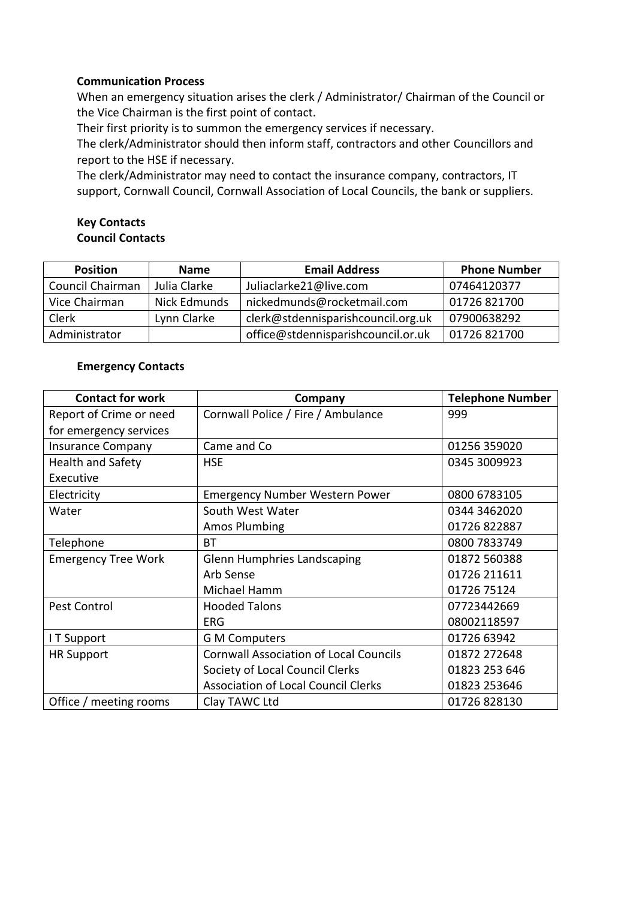## **Communication Process**

When an emergency situation arises the clerk / Administrator/ Chairman of the Council or the Vice Chairman is the first point of contact.

Their first priority is to summon the emergency services if necessary.

The clerk/Administrator should then inform staff, contractors and other Councillors and report to the HSE if necessary.

The clerk/Administrator may need to contact the insurance company, contractors, IT support, Cornwall Council, Cornwall Association of Local Councils, the bank or suppliers.

## **Key Contacts Council Contacts**

| <b>Position</b>  | <b>Name</b>  | <b>Email Address</b>               | <b>Phone Number</b> |
|------------------|--------------|------------------------------------|---------------------|
| Council Chairman | Julia Clarke | Juliaclarke21@live.com             | 07464120377         |
| Vice Chairman    | Nick Edmunds | nickedmunds@rocketmail.com         | 01726 821700        |
| Clerk            | Lynn Clarke  | clerk@stdennisparishcouncil.org.uk | 07900638292         |
| Administrator    |              | office@stdennisparishcouncil.or.uk | 01726 821700        |

## **Emergency Contacts**

| <b>Contact for work</b>    | Company                                       | <b>Telephone Number</b> |
|----------------------------|-----------------------------------------------|-------------------------|
| Report of Crime or need    | Cornwall Police / Fire / Ambulance            | 999                     |
| for emergency services     |                                               |                         |
| <b>Insurance Company</b>   | Came and Co                                   | 01256 359020            |
| <b>Health and Safety</b>   | <b>HSE</b>                                    | 0345 3009923            |
| Executive                  |                                               |                         |
| Electricity                | <b>Emergency Number Western Power</b>         | 0800 6783105            |
| Water                      | South West Water                              | 0344 3462020            |
|                            | <b>Amos Plumbing</b>                          | 01726 822887            |
| Telephone                  | BT                                            | 0800 7833749            |
| <b>Emergency Tree Work</b> | <b>Glenn Humphries Landscaping</b>            | 01872 560388            |
|                            | Arb Sense                                     | 01726 211611            |
|                            | Michael Hamm                                  | 01726 75124             |
| Pest Control               | <b>Hooded Talons</b>                          | 07723442669             |
|                            | <b>ERG</b>                                    | 08002118597             |
| I T Support                | <b>G M Computers</b>                          | 01726 63942             |
| <b>HR Support</b>          | <b>Cornwall Association of Local Councils</b> | 01872 272648            |
|                            | Society of Local Council Clerks               | 01823 253 646           |
|                            | <b>Association of Local Council Clerks</b>    | 01823 253646            |
| Office / meeting rooms     | Clay TAWC Ltd                                 | 01726 828130            |